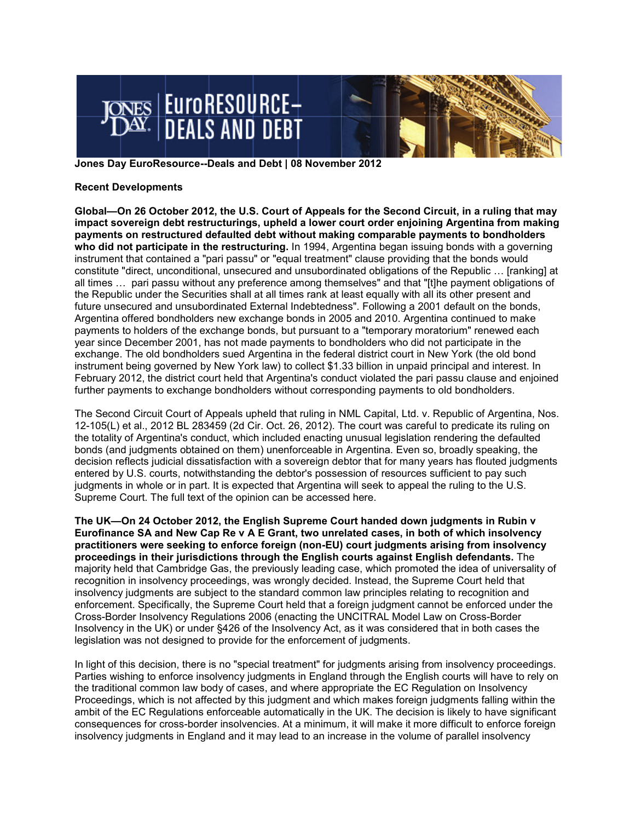

**Jones Day EuroResource--Deals and Debt | 08 November 2012** 

## **Recent Developments**

**Global—On 26 October 2012, the U.S. Court of Appeals for the Second Circuit, in a ruling that may impact sovereign debt restructurings, upheld a lower court order enjoining Argentina from making payments on restructured defaulted debt without making comparable payments to bondholders who did not participate in the restructuring.** In 1994, Argentina began issuing bonds with a governing instrument that contained a "pari passu" or "equal treatment" clause providing that the bonds would constitute "direct, unconditional, unsecured and unsubordinated obligations of the Republic … [ranking] at all times … pari passu without any preference among themselves" and that "[t]he payment obligations of the Republic under the Securities shall at all times rank at least equally with all its other present and future unsecured and unsubordinated External Indebtedness". Following a 2001 default on the bonds, Argentina offered bondholders new exchange bonds in 2005 and 2010. Argentina continued to make payments to holders of the exchange bonds, but pursuant to a "temporary moratorium" renewed each year since December 2001, has not made payments to bondholders who did not participate in the exchange. The old bondholders sued Argentina in the federal district court in New York (the old bond instrument being governed by New York law) to collect \$1.33 billion in unpaid principal and interest. In February 2012, the district court held that Argentina's conduct violated the pari passu clause and enjoined further payments to exchange bondholders without corresponding payments to old bondholders.

The Second Circuit Court of Appeals upheld that ruling in NML Capital, Ltd. v. Republic of Argentina, Nos. 12-105(L) et al., 2012 BL 283459 (2d Cir. Oct. 26, 2012). The court was careful to predicate its ruling on the totality of Argentina's conduct, which included enacting unusual legislation rendering the defaulted bonds (and judgments obtained on them) unenforceable in Argentina. Even so, broadly speaking, the decision reflects judicial dissatisfaction with a sovereign debtor that for many years has flouted judgments entered by U.S. courts, notwithstanding the debtor's possession of resources sufficient to pay such judgments in whole or in part. It is expected that Argentina will seek to appeal the ruling to the U.S. Supreme Court. The full text of the opinion can be accessed here.

**The UK—On 24 October 2012, the English Supreme Court handed down judgments in Rubin v Eurofinance SA and New Cap Re v A E Grant, two unrelated cases, in both of which insolvency practitioners were seeking to enforce foreign (non-EU) court judgments arising from insolvency proceedings in their jurisdictions through the English courts against English defendants.** The majority held that Cambridge Gas, the previously leading case, which promoted the idea of universality of recognition in insolvency proceedings, was wrongly decided. Instead, the Supreme Court held that insolvency judgments are subject to the standard common law principles relating to recognition and enforcement. Specifically, the Supreme Court held that a foreign judgment cannot be enforced under the Cross-Border Insolvency Regulations 2006 (enacting the UNCITRAL Model Law on Cross-Border Insolvency in the UK) or under §426 of the Insolvency Act, as it was considered that in both cases the legislation was not designed to provide for the enforcement of judgments.

In light of this decision, there is no "special treatment" for judgments arising from insolvency proceedings. Parties wishing to enforce insolvency judgments in England through the English courts will have to rely on the traditional common law body of cases, and where appropriate the EC Regulation on Insolvency Proceedings, which is not affected by this judgment and which makes foreign judgments falling within the ambit of the EC Regulations enforceable automatically in the UK. The decision is likely to have significant consequences for cross-border insolvencies. At a minimum, it will make it more difficult to enforce foreign insolvency judgments in England and it may lead to an increase in the volume of parallel insolvency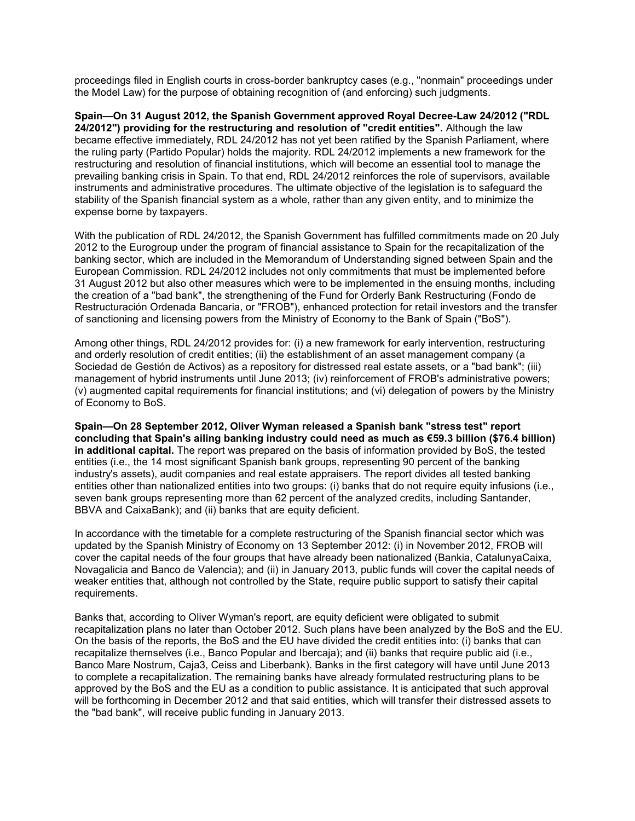proceedings filed in English courts in cross-border bankruptcy cases (e.g., "nonmain" proceedings under the Model Law) for the purpose of obtaining recognition of (and enforcing) such judgments.

**Spain—On 31 August 2012, the Spanish Government approved Royal Decree-Law 24/2012 ("RDL 24/2012") providing for the restructuring and resolution of "credit entities".** Although the law became effective immediately, RDL 24/2012 has not yet been ratified by the Spanish Parliament, where the ruling party (Partido Popular) holds the majority. RDL 24/2012 implements a new framework for the restructuring and resolution of financial institutions, which will become an essential tool to manage the prevailing banking crisis in Spain. To that end, RDL 24/2012 reinforces the role of supervisors, available instruments and administrative procedures. The ultimate objective of the legislation is to safeguard the stability of the Spanish financial system as a whole, rather than any given entity, and to minimize the expense borne by taxpayers.

With the publication of RDL 24/2012, the Spanish Government has fulfilled commitments made on 20 July 2012 to the Eurogroup under the program of financial assistance to Spain for the recapitalization of the banking sector, which are included in the Memorandum of Understanding signed between Spain and the European Commission. RDL 24/2012 includes not only commitments that must be implemented before 31 August 2012 but also other measures which were to be implemented in the ensuing months, including the creation of a "bad bank", the strengthening of the Fund for Orderly Bank Restructuring (Fondo de Restructuración Ordenada Bancaria, or "FROB"), enhanced protection for retail investors and the transfer of sanctioning and licensing powers from the Ministry of Economy to the Bank of Spain ("BoS").

Among other things, RDL 24/2012 provides for: (i) a new framework for early intervention, restructuring and orderly resolution of credit entities; (ii) the establishment of an asset management company (a Sociedad de Gestión de Activos) as a repository for distressed real estate assets, or a "bad bank"; (iii) management of hybrid instruments until June 2013; (iv) reinforcement of FROB's administrative powers; (v) augmented capital requirements for financial institutions; and (vi) delegation of powers by the Ministry of Economy to BoS.

**Spain—On 28 September 2012, Oliver Wyman released a Spanish bank "stress test" report concluding that Spain's ailing banking industry could need as much as €59.3 billion (\$76.4 billion) in additional capital.** The report was prepared on the basis of information provided by BoS, the tested entities (i.e., the 14 most significant Spanish bank groups, representing 90 percent of the banking industry's assets), audit companies and real estate appraisers. The report divides all tested banking entities other than nationalized entities into two groups: (i) banks that do not require equity infusions (i.e., seven bank groups representing more than 62 percent of the analyzed credits, including Santander, BBVA and CaixaBank); and (ii) banks that are equity deficient.

In accordance with the timetable for a complete restructuring of the Spanish financial sector which was updated by the Spanish Ministry of Economy on 13 September 2012: (i) in November 2012, FROB will cover the capital needs of the four groups that have already been nationalized (Bankia, CatalunyaCaixa, Novagalicia and Banco de Valencia); and (ii) in January 2013, public funds will cover the capital needs of weaker entities that, although not controlled by the State, require public support to satisfy their capital requirements.

Banks that, according to Oliver Wyman's report, are equity deficient were obligated to submit recapitalization plans no later than October 2012. Such plans have been analyzed by the BoS and the EU. On the basis of the reports, the BoS and the EU have divided the credit entities into: (i) banks that can recapitalize themselves (i.e., Banco Popular and Ibercaja); and (ii) banks that require public aid (i.e., Banco Mare Nostrum, Caja3, Ceiss and Liberbank). Banks in the first category will have until June 2013 to complete a recapitalization. The remaining banks have already formulated restructuring plans to be approved by the BoS and the EU as a condition to public assistance. It is anticipated that such approval will be forthcoming in December 2012 and that said entities, which will transfer their distressed assets to the "bad bank", will receive public funding in January 2013.